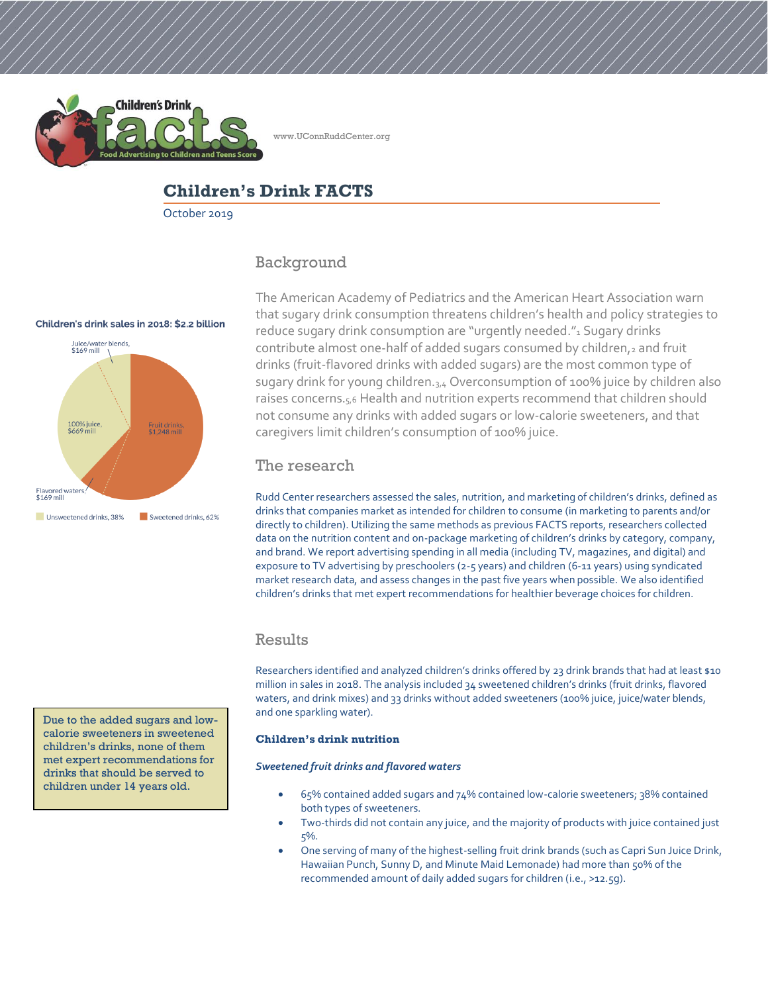

www.UConnRuddCenter.org

# **Children's Drink FACTS**

October 2019

## Background

#### Children's drink sales in 2018: \$2.2 billion



Due to the added sugars and lowcalorie sweeteners in sweetened children's drinks, none of them met expert recommendations for drinks that should be served to children under 14 years old.

The American Academy of Pediatrics and the American Heart Association warn that sugary drink consumption threatens children's health and policy strategies to reduce sugary drink consumption are "urgently needed."<sup>1</sup> Sugary drinks contribute almost one-half of added sugars consumed by children, $2$  and fruit drinks (fruit-flavored drinks with added sugars) are the most common type of sugary drink for young children.<sub>3,4</sub> Overconsumption of 100% juice by children also raises concerns.<sub>5,6</sub> Health and nutrition experts recommend that children should not consume any drinks with added sugars or low-calorie sweeteners, and that caregivers limit children's consumption of 100% juice.

## The research

Rudd Center researchers assessed the sales, nutrition, and marketing of children's drinks, defined as drinks that companies market as intended for children to consume (in marketing to parents and/or directly to children). Utilizing the same methods as previous FACTS reports, researchers collected data on the nutrition content and on-package marketing of children's drinks by category, company, and brand. We report advertising spending in all media (including TV, magazines, and digital) and exposure to TV advertising by preschoolers (2-5 years) and children (6-11 years) using syndicated market research data, and assess changes in the past five years when possible. We also identified children's drinks that met expert recommendations for healthier beverage choices for children.

## Results

Researchers identified and analyzed children's drinks offered by 23 drink brands that had at least \$10 million in sales in 2018. The analysis included 34 sweetened children's drinks (fruit drinks, flavored waters, and drink mixes) and 33 drinks without added sweeteners (100% juice, juice/water blends, and one sparkling water).

#### **Children's drink nutrition**

#### *Sweetened fruit drinks and flavored waters*

- 65% contained added sugars and 74% contained low-calorie sweeteners; 38% contained both types of sweeteners.
- Two-thirds did not contain any juice, and the majority of products with juice contained just 5%.
- One serving of many of the highest-selling fruit drink brands (such as Capri Sun Juice Drink, Hawaiian Punch, Sunny D, and Minute Maid Lemonade) had more than 50% of the recommended amount of daily added sugars for children (i.e., >12.5g).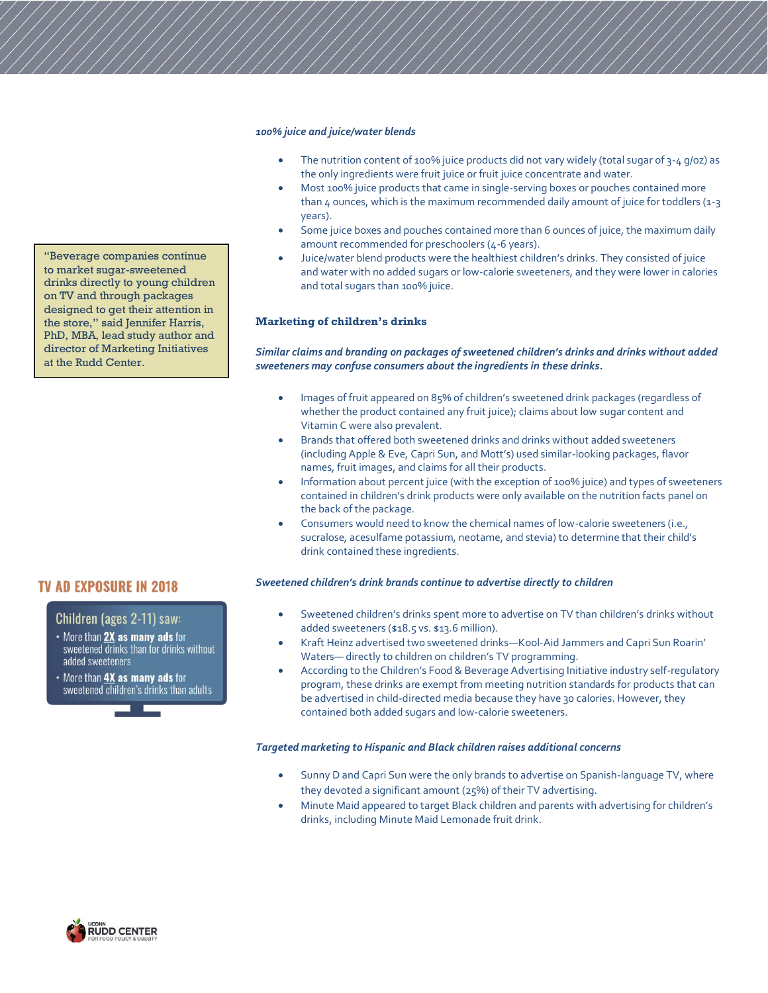#### *100% juice and juice/water blends*

- The nutrition content of 100% juice products did not vary widely (total sugar of 3-4 g/oz) as the only ingredients were fruit juice or fruit juice concentrate and water.
- Most 100% juice products that came in single-serving boxes or pouches contained more than 4 ounces, which is the maximum recommended daily amount of juice for toddlers (1-3 years).
- Some juice boxes and pouches contained more than 6 ounces of juice, the maximum daily amount recommended for preschoolers (4-6 years).
- Juice/water blend products were the healthiest children's drinks. They consisted of juice and water with no added sugars or low-calorie sweeteners, and they were lower in calories and total sugars than 100% juice.

#### **Marketing of children's drinks**

#### *Similar claims and branding on packages of sweetened children's drinks and drinks without added sweeteners may confuse consumers about the ingredients in these drinks.*

- Images of fruit appeared on 85% of children's sweetened drink packages (regardless of whether the product contained any fruit juice); claims about low sugar content and Vitamin C were also prevalent.
- Brands that offered both sweetened drinks and drinks without added sweeteners (including Apple & Eve, Capri Sun, and Mott's) used similar-looking packages, flavor names, fruit images, and claims for all their products.
- Information about percent juice (with the exception of 100% juice) and types of sweeteners contained in children's drink products were only available on the nutrition facts panel on the back of the package.
- Consumers would need to know the chemical names of low-calorie sweeteners (i.e., sucralose, acesulfame potassium, neotame, and stevia) to determine that their child's drink contained these ingredients.

#### *Sweetened children's drink brands continue to advertise directly to children*

- Sweetened children's drinks spent more to advertise on TV than children's drinks without added sweeteners (\$18.5 vs. \$13.6 million).
- Kraft Heinz advertised two sweetened drinks—Kool-Aid Jammers and Capri Sun Roarin' Waters— directly to children on children's TV programming.
- According to the Children's Food & Beverage Advertising Initiative industry self-regulatory program, these drinks are exempt from meeting nutrition standards for products that can be advertised in child-directed media because they have 30 calories. However, they contained both added sugars and low-calorie sweeteners.

#### *Targeted marketing to Hispanic and Black children raises additional concerns*

- Sunny D and Capri Sun were the only brands to advertise on Spanish-language TV, where they devoted a significant amount (25%) of their TV advertising.
- Minute Maid appeared to target Black children and parents with advertising for children's drinks, including Minute Maid Lemonade fruit drink.

"Beverage companies continue to market sugar-sweetened drinks directly to young children on TV and through packages designed to get their attention in the store," said Jennifer Harris, PhD, MBA, lead study author and director of Marketing Initiatives at the Rudd Center.

## **TV AD EXPOSURE IN 2018**

#### Children (ages 2-11) saw:

- More than **2X** as many ads for sweetened drinks than for drinks without added sweeteners
- More than **4X as many ads** for sweetened children's drinks than adults